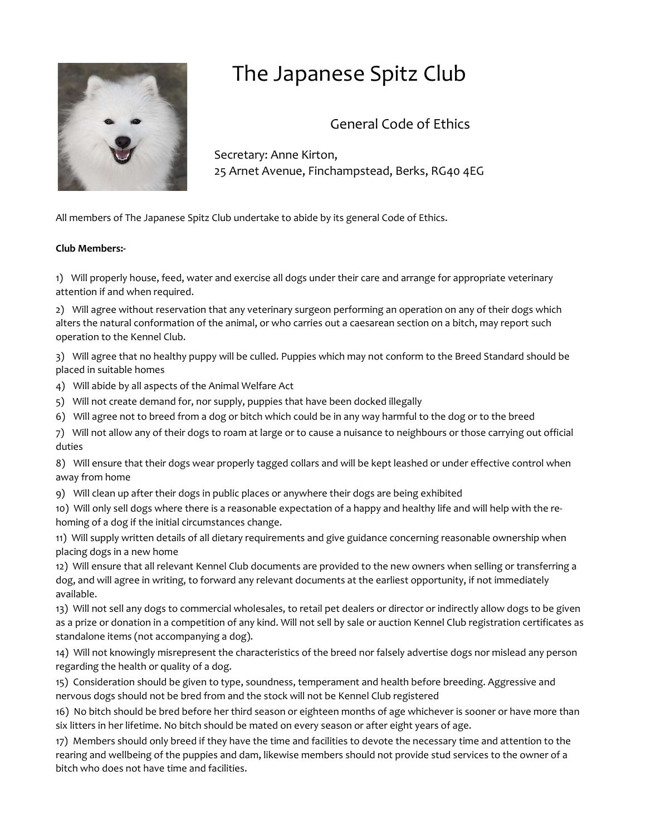

## The Japanese Spitz Club

General Code of Ethics

Secretary: Anne Kirton, 25 Arnet Avenue, Finchampstead, Berks, RG40 4EG

All members of The Japanese Spitz Club undertake to abide by its general Code of Ethics.

## Club Members:-

1) Will properly house, feed, water and exercise all dogs under their care and arrange for appropriate veterinary attention if and when required.

2) Will agree without reservation that any veterinary surgeon performing an operation on any of their dogs which alters the natural conformation of the animal, or who carries out a caesarean section on a bitch, may report such operation to the Kennel Club.

3) Will agree that no healthy puppy will be culled. Puppies which may not conform to the Breed Standard should be placed in suitable homes

- 4) Will abide by all aspects of the Animal Welfare Act
- 5) Will not create demand for, nor supply, puppies that have been docked illegally
- 6) Will agree not to breed from a dog or bitch which could be in any way harmful to the dog or to the breed

7) Will not allow any of their dogs to roam at large or to cause a nuisance to neighbours or those carrying out official duties

8) Will ensure that their dogs wear properly tagged collars and will be kept leashed or under effective control when away from home

9) Will clean up after their dogs in public places or anywhere their dogs are being exhibited

10) Will only sell dogs where there is a reasonable expectation of a happy and healthy life and will help with the rehoming of a dog if the initial circumstances change.

11) Will supply written details of all dietary requirements and give guidance concerning reasonable ownership when placing dogs in a new home

12) Will ensure that all relevant Kennel Club documents are provided to the new owners when selling or transferring a dog, and will agree in writing, to forward any relevant documents at the earliest opportunity, if not immediately available.

13) Will not sell any dogs to commercial wholesales, to retail pet dealers or director or indirectly allow dogs to be given as a prize or donation in a competition of any kind. Will not sell by sale or auction Kennel Club registration certificates as standalone items (not accompanying a dog).

14) Will not knowingly misrepresent the characteristics of the breed nor falsely advertise dogs nor mislead any person regarding the health or quality of a dog.

15) Consideration should be given to type, soundness, temperament and health before breeding. Aggressive and nervous dogs should not be bred from and the stock will not be Kennel Club registered

16) No bitch should be bred before her third season or eighteen months of age whichever is sooner or have more than six litters in her lifetime. No bitch should be mated on every season or after eight years of age.

17) Members should only breed if they have the time and facilities to devote the necessary time and attention to the rearing and wellbeing of the puppies and dam, likewise members should not provide stud services to the owner of a bitch who does not have time and facilities.